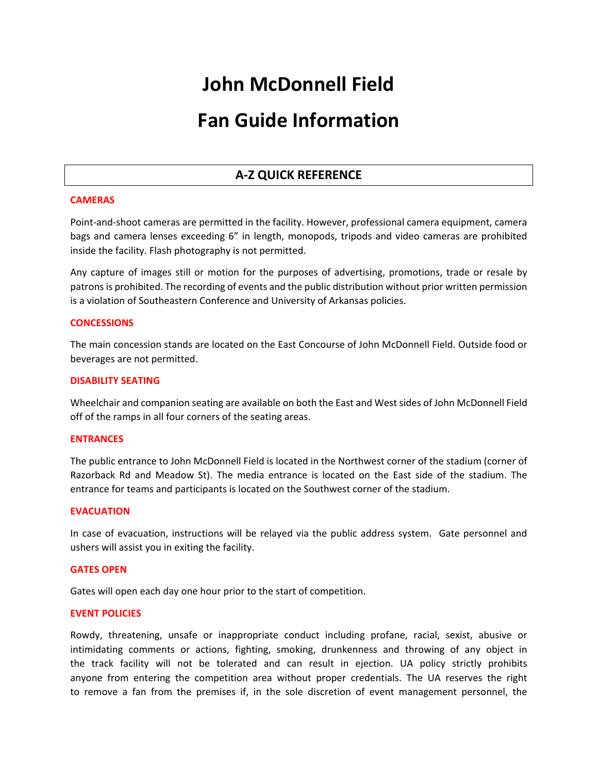# **John McDonnell Field**

## **Fan Guide Information**

### **A-Z QUICK REFERENCE**

#### **CAMERAS**

Point-and-shoot cameras are permitted in the facility. However, professional camera equipment, camera bags and camera lenses exceeding 6" in length, monopods, tripods and video cameras are prohibited inside the facility. Flash photography is not permitted.

Any capture of images still or motion for the purposes of advertising, promotions, trade or resale by patrons is prohibited. The recording of events and the public distribution without prior written permission is a violation of Southeastern Conference and University of Arkansas policies.

#### **CONCESSIONS**

The main concession stands are located on the East Concourse of John McDonnell Field. Outside food or beverages are not permitted.

#### **DISABILITY SEATING**

Wheelchair and companion seating are available on both the East and West sides of John McDonnell Field off of the ramps in all four corners of the seating areas.

#### **ENTRANCES**

The public entrance to John McDonnell Field is located in the Northwest corner of the stadium (corner of Razorback Rd and Meadow St). The media entrance is located on the East side of the stadium. The entrance for teams and participants is located on the Southwest corner of the stadium.

#### **EVACUATION**

In case of evacuation, instructions will be relayed via the public address system. Gate personnel and ushers will assist you in exiting the facility.

#### **GATES OPEN**

Gates will open each day one hour prior to the start of competition.

#### **EVENT POLICIES**

Rowdy, threatening, unsafe or inappropriate conduct including profane, racial, sexist, abusive or intimidating comments or actions, fighting, smoking, drunkenness and throwing of any object in the track facility will not be tolerated and can result in ejection. UA policy strictly prohibits anyone from entering the competition area without proper credentials. The UA reserves the right to remove a fan from the premises if, in the sole discretion of event management personnel, the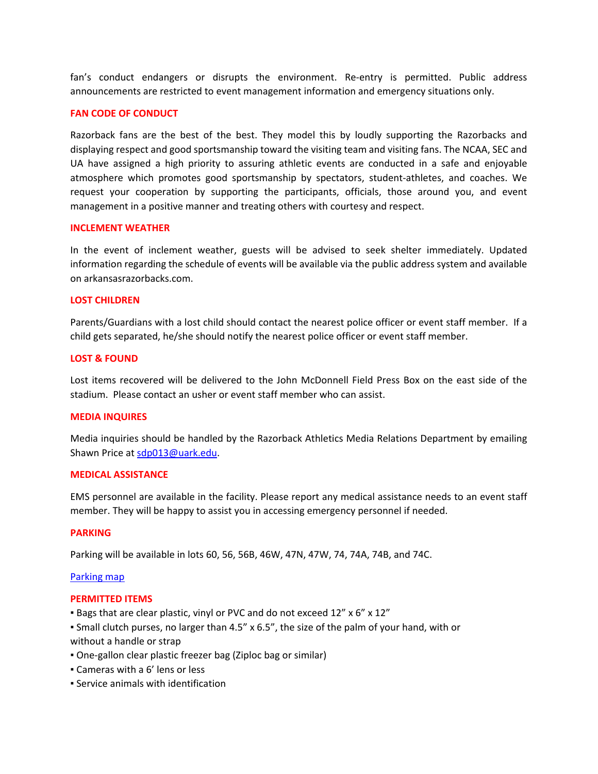fan's conduct endangers or disrupts the environment. Re-entry is permitted. Public address announcements are restricted to event management information and emergency situations only.

#### **FAN CODE OF CONDUCT**

Razorback fans are the best of the best. They model this by loudly supporting the Razorbacks and displaying respect and good sportsmanship toward the visiting team and visiting fans. The NCAA, SEC and UA have assigned a high priority to assuring athletic events are conducted in a safe and enjoyable atmosphere which promotes good sportsmanship by spectators, student-athletes, and coaches. We request your cooperation by supporting the participants, officials, those around you, and event management in a positive manner and treating others with courtesy and respect.

#### **INCLEMENT WEATHER**

In the event of inclement weather, guests will be advised to seek shelter immediately. Updated information regarding the schedule of events will be available via the public address system and available on arkansasrazorbacks.com.

#### **LOST CHILDREN**

Parents/Guardians with a lost child should contact the nearest police officer or event staff member. If a child gets separated, he/she should notify the nearest police officer or event staff member.

#### **LOST & FOUND**

Lost items recovered will be delivered to the John McDonnell Field Press Box on the east side of the stadium. Please contact an usher or event staff member who can assist.

#### **MEDIA INQUIRES**

Media inquiries should be handled by the Razorback Athletics Media Relations Department by emailing Shawn Price at sdp013@uark.edu.

#### **MEDICAL ASSISTANCE**

EMS personnel are available in the facility. Please report any medical assistance needs to an event staff member. They will be happy to assist you in accessing emergency personnel if needed.

#### **PARKING**

Parking will be available in lots 60, 56, 56B, 46W, 47N, 47W, 74, 74A, 74B, and 74C.

#### [Parking map](https://arkansasrazorbacks.com/wp-content/uploads/2022/04/2022-Outdoor-Track-Parking-Map.pdf)

#### **PERMITTED ITEMS**

- Bags that are clear plastic, vinyl or PVC and do not exceed 12" x 6" x 12"
- Small clutch purses, no larger than 4.5" x 6.5", the size of the palm of your hand, with or without a handle or strap
- One-gallon clear plastic freezer bag (Ziploc bag or similar)
- Cameras with a 6' lens or less
- **Service animals with identification**